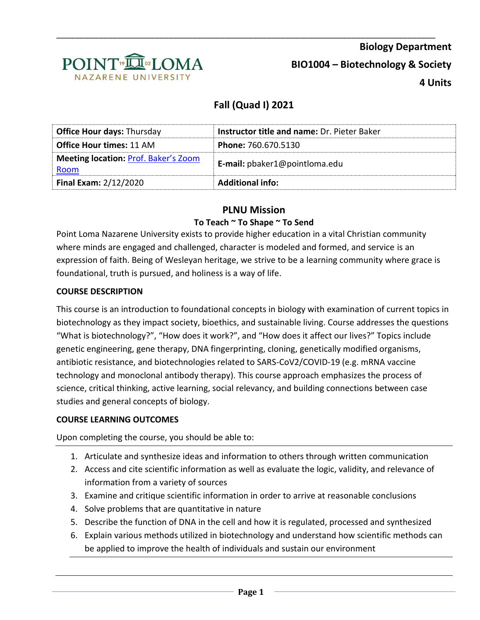

# **Fall (Quad I) 2021**

\_\_\_\_\_\_\_\_\_\_\_\_\_\_\_\_\_\_\_\_\_\_\_\_\_\_\_\_\_\_\_\_\_\_\_\_\_\_\_\_\_\_\_\_\_\_\_\_\_\_\_\_\_\_\_\_\_\_\_\_\_\_\_\_\_\_\_\_\_\_\_\_\_\_\_\_\_\_\_\_\_

| <b>Office Hour days: Thursday</b>                   | <b>Instructor title and name: Dr. Pieter Baker</b> |  |
|-----------------------------------------------------|----------------------------------------------------|--|
| <b>Office Hour times: 11 AM</b>                     | <b>Phone: 760.670.5130</b>                         |  |
| <b>Meeting location: Prof. Baker's Zoom</b><br>Room | E-mail: pbaker1@pointloma.edu                      |  |
| <b>Final Exam: 2/12/2020</b>                        | <b>Additional info:</b>                            |  |

## **PLNU Mission**

### **To Teach ~ To Shape ~ To Send**

Point Loma Nazarene University exists to provide higher education in a vital Christian community where minds are engaged and challenged, character is modeled and formed, and service is an expression of faith. Being of Wesleyan heritage, we strive to be a learning community where grace is foundational, truth is pursued, and holiness is a way of life.

### **COURSE DESCRIPTION**

This course is an introduction to foundational concepts in biology with examination of current topics in biotechnology as they impact society, bioethics, and sustainable living. Course addresses the questions "What is biotechnology?", "How does it work?", and "How does it affect our lives?" Topics include genetic engineering, gene therapy, DNA fingerprinting, cloning, genetically modified organisms, antibiotic resistance, and biotechnologies related to SARS-CoV2/COVID-19 (e.g. mRNA vaccine technology and monoclonal antibody therapy). This course approach emphasizes the process of science, critical thinking, active learning, social relevancy, and building connections between case studies and general concepts of biology.

### **COURSE LEARNING OUTCOMES**

Upon completing the course, you should be able to:

- 1. Articulate and synthesize ideas and information to others through written communication
- 2. Access and cite scientific information as well as evaluate the logic, validity, and relevance of information from a variety of sources
- 3. Examine and critique scientific information in order to arrive at reasonable conclusions
- 4. Solve problems that are quantitative in nature
- 5. Describe the function of DNA in the cell and how it is regulated, processed and synthesized
- 6. Explain various methods utilized in biotechnology and understand how scientific methods can be applied to improve the health of individuals and sustain our environment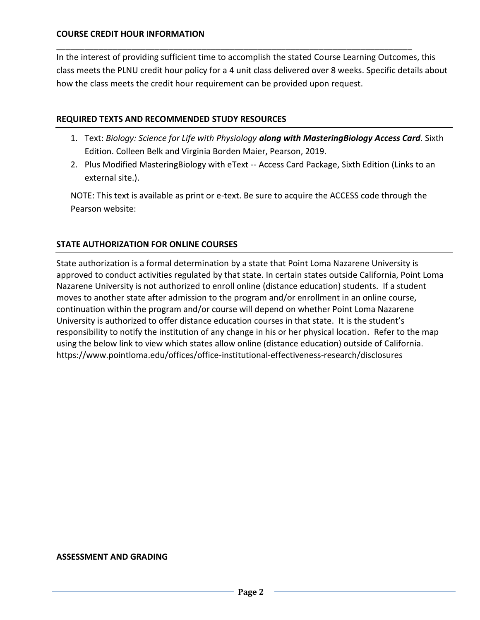#### **COURSE CREDIT HOUR INFORMATION**

In the interest of providing sufficient time to accomplish the stated Course Learning Outcomes, this class meets the PLNU credit hour policy for a 4 unit class delivered over 8 weeks. Specific details about how the class meets the credit hour requirement can be provided upon request.

\_\_\_\_\_\_\_\_\_\_\_\_\_\_\_\_\_\_\_\_\_\_\_\_\_\_\_\_\_\_\_\_\_\_\_\_\_\_\_\_\_\_\_\_\_\_\_\_\_\_\_\_\_\_\_\_\_\_\_\_\_\_\_\_\_\_\_\_\_\_\_\_\_\_\_\_

#### **REQUIRED TEXTS AND RECOMMENDED STUDY RESOURCES**

- 1. Text: *Biology: Science for Life with Physiology along with MasteringBiology Access Card.* Sixth Edition. Colleen Belk and Virginia Borden Maier, Pearson, 2019.
- 2. Plus Modified MasteringBiology with eText -- Access Card Package, Sixth Edition (Links to an external site.).

NOTE: This text is available as print or e-text. Be sure to acquire the ACCESS code through the Pearson website:

#### **STATE AUTHORIZATION FOR ONLINE COURSES**

State authorization is a formal determination by a state that Point Loma Nazarene University is approved to conduct activities regulated by that state. In certain states outside California, Point Loma Nazarene University is not authorized to enroll online (distance education) students. If a student moves to another state after admission to the program and/or enrollment in an online course, continuation within the program and/or course will depend on whether Point Loma Nazarene University is authorized to offer distance education courses in that state. It is the student's responsibility to notify the institution of any change in his or her physical location. Refer to the map using the below link to view which states allow online (distance education) outside of California. <https://www.pointloma.edu/offices/office-institutional-effectiveness-research/disclosures>

#### **ASSESSMENT AND GRADING**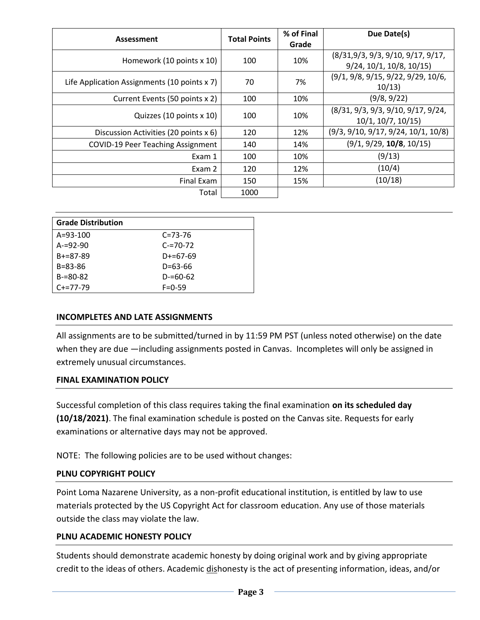|                                              | <b>Total Points</b> | % of Final | Due Date(s)                          |  |
|----------------------------------------------|---------------------|------------|--------------------------------------|--|
| Assessment                                   |                     | Grade      |                                      |  |
| Homework (10 points x 10)                    | 100                 | 10%        | (8/31, 9/3, 9/3, 9/10, 9/17, 9/17,   |  |
|                                              |                     |            | $9/24$ , $10/1$ , $10/8$ , $10/15$ ) |  |
| Life Application Assignments (10 points x 7) | 70                  | 7%         | (9/1, 9/8, 9/15, 9/22, 9/29, 10/6,   |  |
|                                              |                     |            | 10/13                                |  |
| Current Events (50 points x 2)               | 100                 | 10%        | (9/8, 9/22)                          |  |
|                                              | 100                 | 10%        | (8/31, 9/3, 9/3, 9/10, 9/17, 9/24,   |  |
| Quizzes (10 points x 10)                     |                     |            | 10/1, 10/7, 10/15                    |  |
| Discussion Activities (20 points x 6)        | 120                 | 12%        | (9/3, 9/10, 9/17, 9/24, 10/1, 10/8)  |  |
| <b>COVID-19 Peer Teaching Assignment</b>     | 140                 | 14%        | (9/1, 9/29, 10/8, 10/15)             |  |
| Exam 1                                       | 100                 | 10%        | (9/13)                               |  |
| Exam 2                                       | 120                 | 12%        | (10/4)                               |  |
| Final Exam                                   | 150                 | 15%        | (10/18)                              |  |
| Total                                        | 1000                |            |                                      |  |

| <b>Grade Distribution</b> |               |
|---------------------------|---------------|
| $A = 93 - 100$            | $C = 73 - 76$ |
| $A = 92 - 90$             | $C = 70 - 72$ |
| $B + = 87 - 89$           | $D+=67-69$    |
| $B = 83 - 86$             | D=63-66       |
| $B = 80 - 82$             | $D = 60 - 62$ |
| $C+=77-79$                | $F = 0 - 59$  |

#### **INCOMPLETES AND LATE ASSIGNMENTS**

All assignments are to be submitted/turned in by 11:59 PM PST (unless noted otherwise) on the date when they are due —including assignments posted in Canvas. Incompletes will only be assigned in extremely unusual circumstances.

#### **FINAL EXAMINATION POLICY**

Successful completion of this class requires taking the final examination **on its scheduled day (10/18/2021)**. The final examination schedule is posted on the Canvas site. Requests for early examinations or alternative days may not be approved.

NOTE: The following policies are to be used without changes:

#### **PLNU COPYRIGHT POLICY**

Point Loma Nazarene University, as a non-profit educational institution, is entitled by law to use materials protected by the US Copyright Act for classroom education. Any use of those materials outside the class may violate the law.

#### **PLNU ACADEMIC HONESTY POLICY**

Students should demonstrate academic honesty by doing original work and by giving appropriate credit to the ideas of others. Academic dishonesty is the act of presenting information, ideas, and/or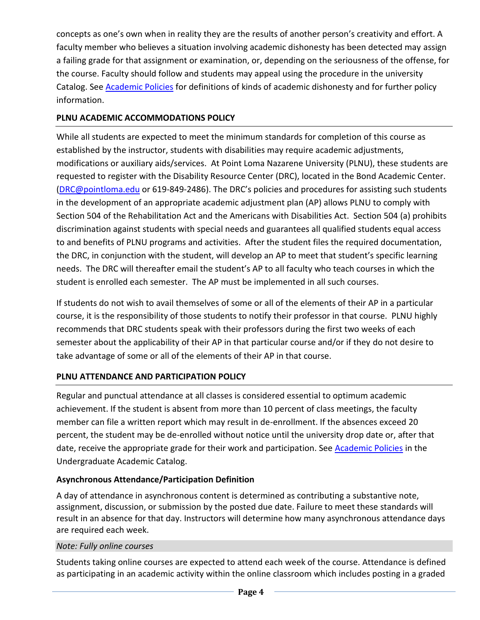concepts as one's own when in reality they are the results of another person's creativity and effort. A faculty member who believes a situation involving academic dishonesty has been detected may assign a failing grade for that assignment or examination, or, depending on the seriousness of the offense, for the course. Faculty should follow and students may appeal using the procedure in the university Catalog. See [Academic Policies](http://catalog.pointloma.edu/content.php?catoid=41&navoid=2435) for definitions of kinds of academic dishonesty and for further policy information.

### **PLNU ACADEMIC ACCOMMODATIONS POLICY**

While all students are expected to meet the minimum standards for completion of this course as established by the instructor, students with disabilities may require academic adjustments, modifications or auxiliary aids/services. At Point Loma Nazarene University (PLNU), these students are requested to register with the Disability Resource Center (DRC), located in the Bond Academic Center. [\(DRC@pointloma.edu](mailto:DRC@pointloma.edu) or 619-849-2486). The DRC's policies and procedures for assisting such students in the development of an appropriate academic adjustment plan (AP) allows PLNU to comply with Section 504 of the Rehabilitation Act and the Americans with Disabilities Act. Section 504 (a) prohibits discrimination against students with special needs and guarantees all qualified students equal access to and benefits of PLNU programs and activities. After the student files the required documentation, the DRC, in conjunction with the student, will develop an AP to meet that student's specific learning needs. The DRC will thereafter email the student's AP to all faculty who teach courses in which the student is enrolled each semester. The AP must be implemented in all such courses.

If students do not wish to avail themselves of some or all of the elements of their AP in a particular course, it is the responsibility of those students to notify their professor in that course. PLNU highly recommends that DRC students speak with their professors during the first two weeks of each semester about the applicability of their AP in that particular course and/or if they do not desire to take advantage of some or all of the elements of their AP in that course.

### **PLNU ATTENDANCE AND PARTICIPATION POLICY**

Regular and punctual attendance at all classes is considered essential to optimum academic achievement. If the student is absent from more than 10 percent of class meetings, the faculty member can file a written report which may result in de-enrollment. If the absences exceed 20 percent, the student may be de-enrolled without notice until the university drop date or, after that date, receive the appropriate grade for their work and participation. See [Academic Policies](http://catalog.pointloma.edu/content.php?catoid=41&navoid=2435) in the Undergraduate Academic Catalog.

### **Asynchronous Attendance/Participation Definition**

A day of attendance in asynchronous content is determined as contributing a substantive note, assignment, discussion, or submission by the posted due date. Failure to meet these standards will result in an absence for that day. Instructors will determine how many asynchronous attendance days are required each week.

### *Note: Fully online courses*

Students taking online courses are expected to attend each week of the course. Attendance is defined as participating in an academic activity within the online classroom which includes posting in a graded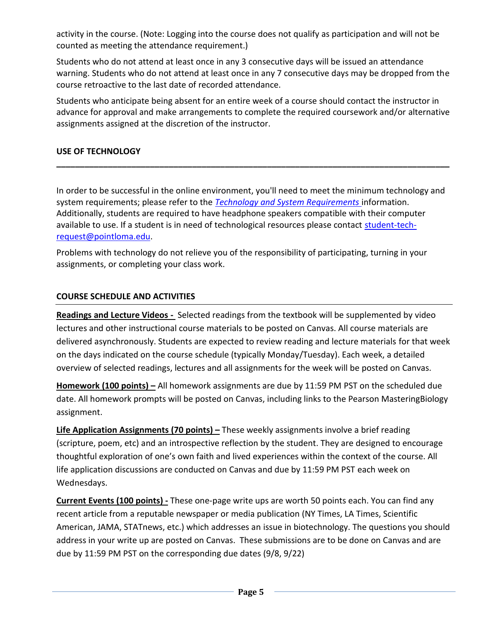activity in the course. (Note: Logging into the course does not qualify as participation and will not be counted as meeting the attendance requirement.)

Students who do not attend at least once in any 3 consecutive days will be issued an attendance warning. Students who do not attend at least once in any 7 consecutive days may be dropped from the course retroactive to the last date of recorded attendance.

Students who anticipate being absent for an entire week of a course should contact the instructor in advance for approval and make arrangements to complete the required coursework and/or alternative assignments assigned at the discretion of the instructor.

**\_\_\_\_\_\_\_\_\_\_\_\_\_\_\_\_\_\_\_\_\_\_\_\_\_\_\_\_\_\_\_\_\_\_\_\_\_\_\_\_\_\_\_\_\_\_\_\_\_\_\_\_\_\_\_\_\_\_\_\_\_\_\_\_\_\_\_\_\_\_\_\_\_\_\_\_\_\_\_\_\_\_\_\_**

### **USE OF TECHNOLOGY**

In order to be successful in the online environment, you'll need to meet the minimum technology and system requirements; please refer to the *[Technology and System Requirements](https://help.pointloma.edu/TDClient/1808/Portal/KB/ArticleDet?ID=108349)* information. Additionally, students are required to have headphone speakers compatible with their computer available to use. If a student is in need of technological resources please contact [student-tech](mailto:student-tech-request@pointloma.edu)[request@pointloma.edu.](mailto:student-tech-request@pointloma.edu)

Problems with technology do not relieve you of the responsibility of participating, turning in your assignments, or completing your class work.

### **COURSE SCHEDULE AND ACTIVITIES**

**Readings and Lecture Videos -** Selected readings from the textbook will be supplemented by video lectures and other instructional course materials to be posted on Canvas. All course materials are delivered asynchronously. Students are expected to review reading and lecture materials for that week on the days indicated on the course schedule (typically Monday/Tuesday). Each week, a detailed overview of selected readings, lectures and all assignments for the week will be posted on Canvas.

**Homework (100 points) –** All homework assignments are due by 11:59 PM PST on the scheduled due date. All homework prompts will be posted on Canvas, including links to the Pearson MasteringBiology assignment.

**Life Application Assignments (70 points) –** These weekly assignments involve a brief reading (scripture, poem, etc) and an introspective reflection by the student. They are designed to encourage thoughtful exploration of one's own faith and lived experiences within the context of the course. All life application discussions are conducted on Canvas and due by 11:59 PM PST each week on Wednesdays.

**Current Events (100 points) -** These one-page write ups are worth 50 points each. You can find any recent article from a reputable newspaper or media publication (NY Times, LA Times, Scientific American, JAMA, STATnews, etc.) which addresses an issue in biotechnology. The questions you should address in your write up are posted on Canvas. These submissions are to be done on Canvas and are due by 11:59 PM PST on the corresponding due dates (9/8, 9/22)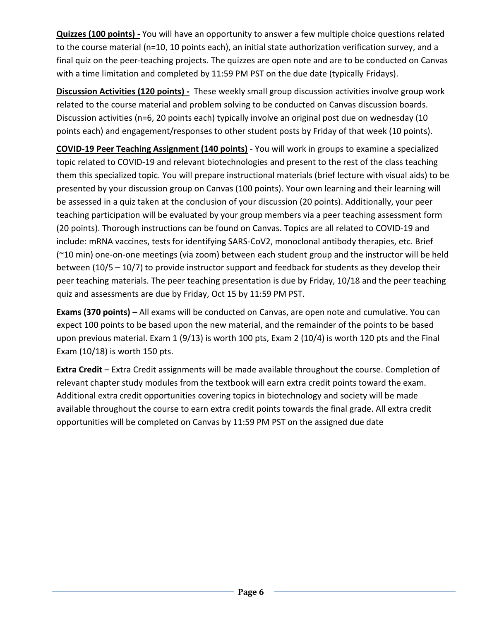**Quizzes (100 points) -** You will have an opportunity to answer a few multiple choice questions related to the course material (n=10, 10 points each), an initial state authorization verification survey, and a final quiz on the peer-teaching projects. The quizzes are open note and are to be conducted on Canvas with a time limitation and completed by 11:59 PM PST on the due date (typically Fridays).

**Discussion Activities (120 points)** - These weekly small group discussion activities involve group work related to the course material and problem solving to be conducted on Canvas discussion boards. Discussion activities (n=6, 20 points each) typically involve an original post due on wednesday (10 points each) and engagement/responses to other student posts by Friday of that week (10 points).

**COVID-19 Peer Teaching Assignment (140 points)** - You will work in groups to examine a specialized topic related to COVID-19 and relevant biotechnologies and present to the rest of the class teaching them this specialized topic. You will prepare instructional materials (brief lecture with visual aids) to be presented by your discussion group on Canvas (100 points). Your own learning and their learning will be assessed in a quiz taken at the conclusion of your discussion (20 points). Additionally, your peer teaching participation will be evaluated by your group members via a peer teaching assessment form (20 points). Thorough instructions can be found on Canvas. Topics are all related to COVID-19 and include: mRNA vaccines, tests for identifying SARS-CoV2, monoclonal antibody therapies, etc. Brief (~10 min) one-on-one meetings (via zoom) between each student group and the instructor will be held between (10/5 – 10/7) to provide instructor support and feedback for students as they develop their peer teaching materials. The peer teaching presentation is due by Friday, 10/18 and the peer teaching quiz and assessments are due by Friday, Oct 15 by 11:59 PM PST.

**Exams (370 points) –** All exams will be conducted on Canvas, are open note and cumulative. You can expect 100 points to be based upon the new material, and the remainder of the points to be based upon previous material. Exam 1 (9/13) is worth 100 pts, Exam 2 (10/4) is worth 120 pts and the Final Exam (10/18) is worth 150 pts.

**Extra Credit** – Extra Credit assignments will be made available throughout the course. Completion of relevant chapter study modules from the textbook will earn extra credit points toward the exam. Additional extra credit opportunities covering topics in biotechnology and society will be made available throughout the course to earn extra credit points towards the final grade. All extra credit opportunities will be completed on Canvas by 11:59 PM PST on the assigned due date